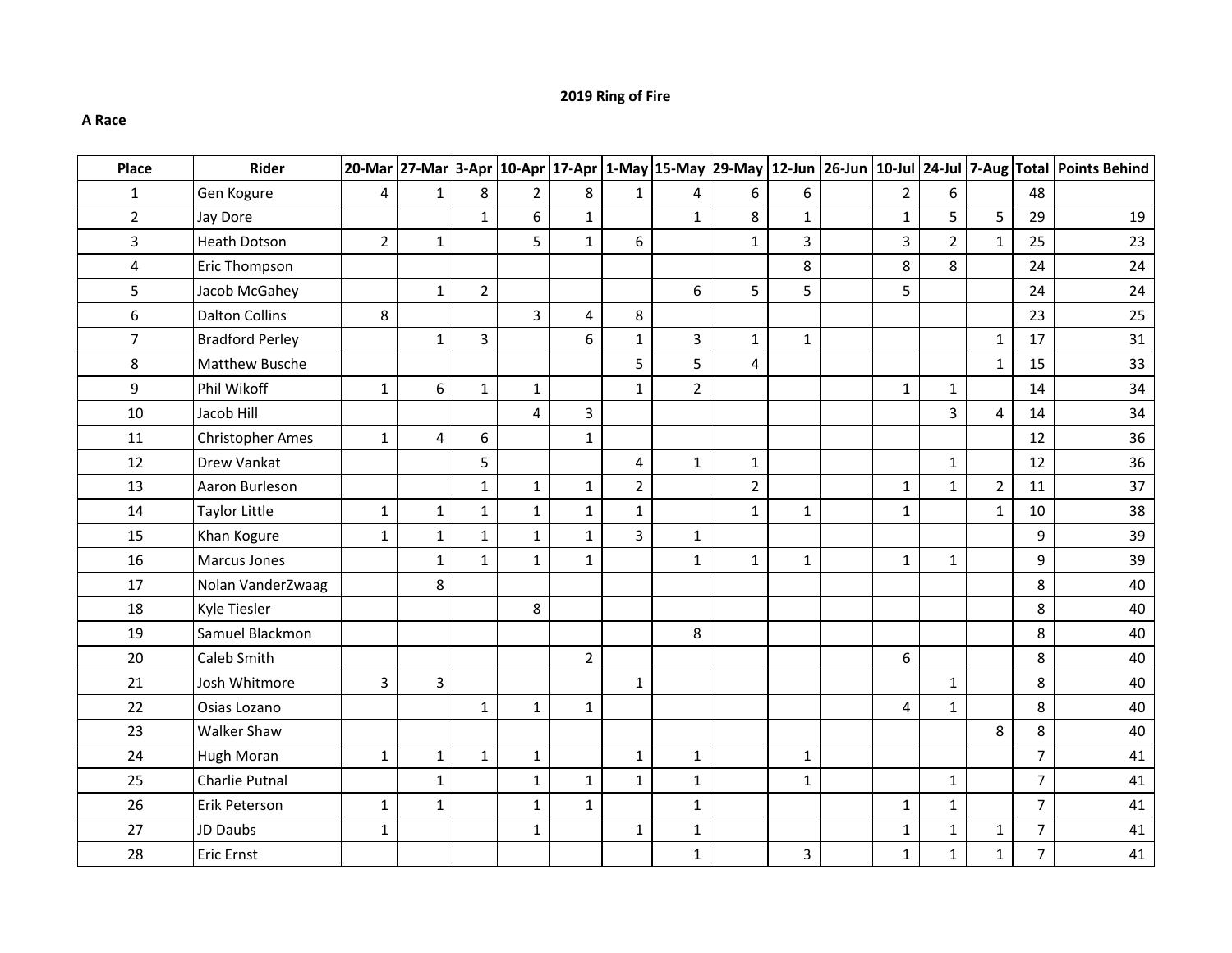## **2019 Ring of Fire**

## **A Race**

| Place          | Rider                   |                |                |                |                |                         |                |                |                         |                |                |                |                |                | 20-Mar 27-Mar 3-Apr 10-Apr 17-Apr 1-May 15-May 29-May 12-Jun 26-Jun 10-Jul 24-Jul 7-Aug Total Points Behind |
|----------------|-------------------------|----------------|----------------|----------------|----------------|-------------------------|----------------|----------------|-------------------------|----------------|----------------|----------------|----------------|----------------|-------------------------------------------------------------------------------------------------------------|
| $\mathbf{1}$   | Gen Kogure              | 4              | $\mathbf{1}$   | 8              | $\overline{2}$ | 8                       | $\mathbf{1}$   | 4              | 6                       | 6              | $\overline{2}$ | 6              |                | 48             |                                                                                                             |
| $2^{\circ}$    | Jay Dore                |                |                | $\mathbf{1}$   | 6              | $\mathbf{1}$            |                | $\mathbf{1}$   | 8                       | $\mathbf{1}$   | $1\,$          | 5              | 5              | 29             | 19                                                                                                          |
| $\overline{3}$ | <b>Heath Dotson</b>     | $\overline{2}$ | 1              |                | 5              | $\mathbf{1}$            | 6              |                | $\mathbf{1}$            | $\overline{3}$ | $\overline{3}$ | $\overline{2}$ | $\mathbf{1}$   | 25             | 23                                                                                                          |
| $\overline{4}$ | Eric Thompson           |                |                |                |                |                         |                |                |                         | 8              | 8              | 8              |                | 24             | 24                                                                                                          |
| 5              | Jacob McGahey           |                | $\mathbf{1}$   | $\overline{2}$ |                |                         |                | 6              | 5                       | 5              | 5              |                |                | 24             | 24                                                                                                          |
| 6              | <b>Dalton Collins</b>   | 8              |                |                | $\overline{3}$ | $\overline{\mathbf{4}}$ | 8              |                |                         |                |                |                |                | 23             | 25                                                                                                          |
| $\overline{7}$ | <b>Bradford Perley</b>  |                | $\mathbf{1}$   | 3              |                | 6                       | $\mathbf{1}$   | $\overline{3}$ | $\mathbf{1}$            | $\mathbf{1}$   |                |                | 1              | 17             | 31                                                                                                          |
| 8              | Matthew Busche          |                |                |                |                |                         | 5              | 5              | $\overline{\mathbf{4}}$ |                |                |                | $\mathbf{1}$   | 15             | 33                                                                                                          |
| 9              | Phil Wikoff             | $\mathbf{1}$   | 6              | $\mathbf{1}$   | $\mathbf{1}$   |                         | $\mathbf{1}$   | $\overline{2}$ |                         |                | $\mathbf 1$    | $\mathbf{1}$   |                | 14             | 34                                                                                                          |
| 10             | Jacob Hill              |                |                |                | $\overline{4}$ | 3                       |                |                |                         |                |                | $\overline{3}$ | 4              | 14             | 34                                                                                                          |
| 11             | <b>Christopher Ames</b> | $\mathbf{1}$   | 4              | 6              |                | $\mathbf{1}$            |                |                |                         |                |                |                |                | 12             | 36                                                                                                          |
| 12             | Drew Vankat             |                |                | 5              |                |                         | $\overline{4}$ | $\mathbf{1}$   | $\mathbf 1$             |                |                | $\mathbf{1}$   |                | 12             | 36                                                                                                          |
| 13             | Aaron Burleson          |                |                | $\mathbf{1}$   | $\mathbf{1}$   | $\mathbf{1}$            | $\overline{2}$ |                | $\overline{2}$          |                | $\mathbf{1}$   | $\mathbf{1}$   | $\overline{2}$ | 11             | 37                                                                                                          |
| 14             | Taylor Little           | $\mathbf{1}$   | $\mathbf{1}$   | $\mathbf 1$    | $\mathbf{1}$   | $\mathbf{1}$            | $\mathbf{1}$   |                | $\mathbf{1}$            | $\mathbf 1$    | $1\,$          |                | $\mathbf{1}$   | 10             | 38                                                                                                          |
| 15             | Khan Kogure             | $\mathbf{1}$   | $\mathbf 1$    | $\mathbf{1}$   | $\mathbf{1}$   | $\mathbf{1}$            | $\overline{3}$ | $\mathbf 1$    |                         |                |                |                |                | 9              | 39                                                                                                          |
| 16             | <b>Marcus Jones</b>     |                | $\mathbf{1}$   | $\mathbf{1}$   | $\mathbf{1}$   | $\mathbf{1}$            |                | $\mathbf{1}$   | $\mathbf{1}$            | $\mathbf{1}$   | $\mathbf 1$    | $\mathbf{1}$   |                | 9              | 39                                                                                                          |
| 17             | Nolan VanderZwaag       |                | 8              |                |                |                         |                |                |                         |                |                |                |                | 8              | 40                                                                                                          |
| 18             | <b>Kyle Tiesler</b>     |                |                |                | 8              |                         |                |                |                         |                |                |                |                | 8              | 40                                                                                                          |
| 19             | Samuel Blackmon         |                |                |                |                |                         |                | 8              |                         |                |                |                |                | 8              | 40                                                                                                          |
| 20             | Caleb Smith             |                |                |                |                | $\overline{2}$          |                |                |                         |                | 6              |                |                | 8              | 40                                                                                                          |
| 21             | Josh Whitmore           | $\overline{3}$ | $\overline{3}$ |                |                |                         | $\mathbf{1}$   |                |                         |                |                | $\mathbf{1}$   |                | 8              | 40                                                                                                          |
| 22             | Osias Lozano            |                |                | $\mathbf 1$    | $\mathbf{1}$   | $\mathbf{1}$            |                |                |                         |                | $\overline{4}$ | $\mathbf{1}$   |                | 8              | 40                                                                                                          |
| 23             | <b>Walker Shaw</b>      |                |                |                |                |                         |                |                |                         |                |                |                | 8              | 8              | 40                                                                                                          |
| 24             | Hugh Moran              | $\mathbf{1}$   | $\mathbf 1$    | $\mathbf{1}$   | $\mathbf{1}$   |                         | $\mathbf 1$    | $\mathbf 1$    |                         | $\mathbf 1$    |                |                |                | $\overline{7}$ | 41                                                                                                          |
| 25             | Charlie Putnal          |                | $\mathbf{1}$   |                | $\mathbf{1}$   | $\mathbf{1}$            | $\mathbf{1}$   | $\mathbf 1$    |                         | $\mathbf{1}$   |                | $\mathbf{1}$   |                | $\overline{7}$ | 41                                                                                                          |
| 26             | Erik Peterson           | $\mathbf{1}$   | $\mathbf{1}$   |                | $\mathbf{1}$   | $\mathbf{1}$            |                | $1\,$          |                         |                | $\mathbf 1$    | $\mathbf{1}$   |                | $\overline{7}$ | 41                                                                                                          |
| 27             | JD Daubs                | $\mathbf{1}$   |                |                | $\mathbf{1}$   |                         | $\mathbf{1}$   | $1\,$          |                         |                | $1\,$          | $\mathbf{1}$   | $\mathbf{1}$   | $\overline{7}$ | 41                                                                                                          |
| 28             | Eric Ernst              |                |                |                |                |                         |                | $\mathbf{1}$   |                         | 3              | $1\,$          | $\mathbf{1}$   | $\mathbf{1}$   | $\overline{7}$ | 41                                                                                                          |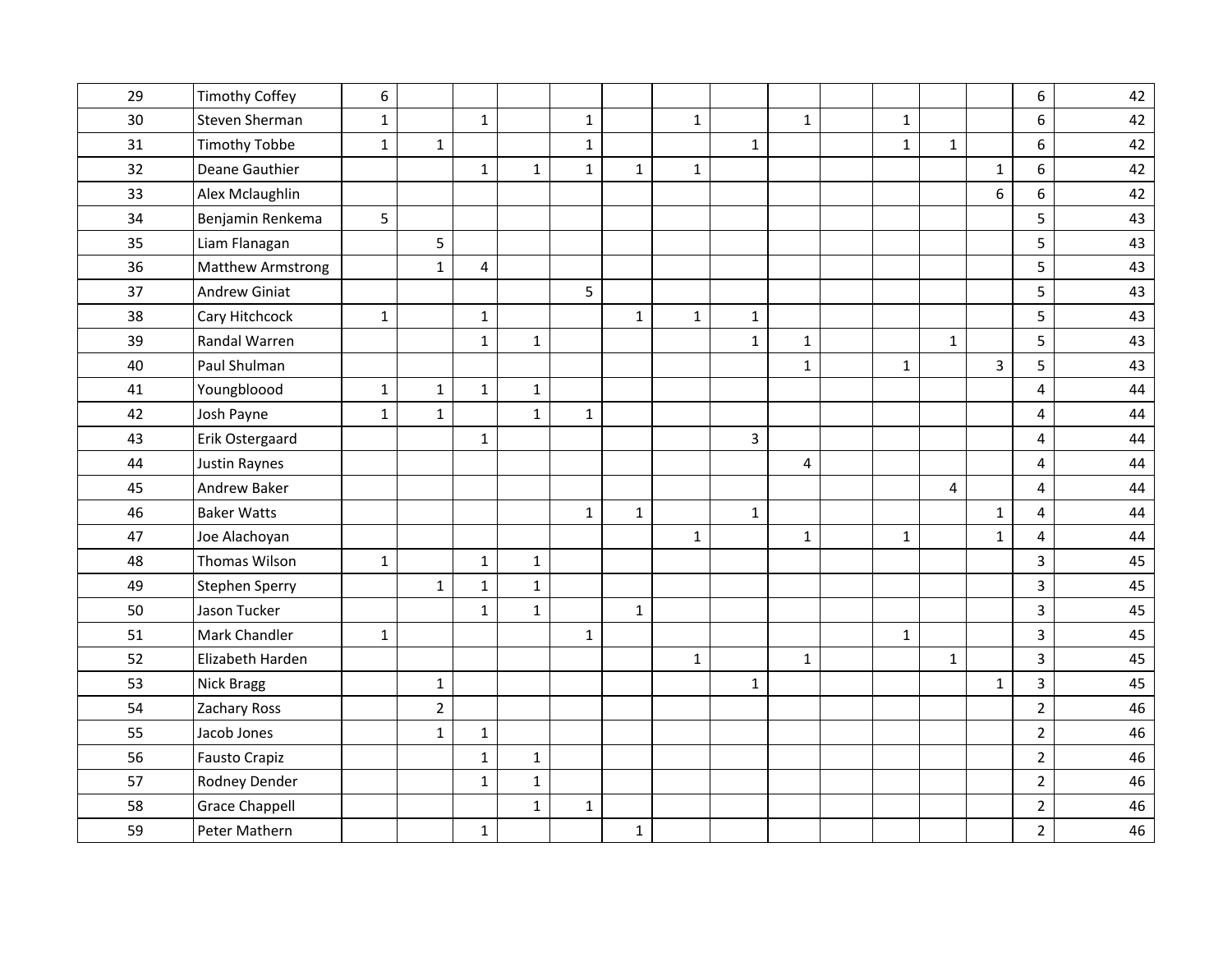| 29 | <b>Timothy Coffey</b> | 6            |                |              |              |              |              |              |                |                         |              |                |                | 6                       | 42 |
|----|-----------------------|--------------|----------------|--------------|--------------|--------------|--------------|--------------|----------------|-------------------------|--------------|----------------|----------------|-------------------------|----|
| 30 | Steven Sherman        | $\mathbf{1}$ |                | $\mathbf{1}$ |              | $\mathbf{1}$ |              | $\mathbf{1}$ |                | $\mathbf{1}$            | $\mathbf{1}$ |                |                | 6                       | 42 |
| 31 | <b>Timothy Tobbe</b>  | $\mathbf 1$  | $\mathbf{1}$   |              |              | $\mathbf{1}$ |              |              | $\mathbf{1}$   |                         | $\mathbf 1$  | $\mathbf{1}$   |                | 6                       | 42 |
| 32 | Deane Gauthier        |              |                | $\mathbf{1}$ | $\mathbf{1}$ | $\mathbf{1}$ | $\mathbf{1}$ | $\mathbf{1}$ |                |                         |              |                | $\mathbf{1}$   | 6                       | 42 |
| 33 | Alex Mclaughlin       |              |                |              |              |              |              |              |                |                         |              |                | 6              | 6                       | 42 |
| 34 | Benjamin Renkema      | 5            |                |              |              |              |              |              |                |                         |              |                |                | 5                       | 43 |
| 35 | Liam Flanagan         |              | 5              |              |              |              |              |              |                |                         |              |                |                | 5                       | 43 |
| 36 | Matthew Armstrong     |              | $\mathbf 1$    | 4            |              |              |              |              |                |                         |              |                |                | 5                       | 43 |
| 37 | <b>Andrew Giniat</b>  |              |                |              |              | 5            |              |              |                |                         |              |                |                | 5                       | 43 |
| 38 | Cary Hitchcock        | $\mathbf 1$  |                | $\mathbf{1}$ |              |              | $\mathbf 1$  | $\mathbf 1$  | $\mathbf{1}$   |                         |              |                |                | 5                       | 43 |
| 39 | Randal Warren         |              |                | $\mathbf{1}$ | $\mathbf{1}$ |              |              |              | $\mathbf{1}$   | $\mathbf 1$             |              | $\mathbf{1}$   |                | 5                       | 43 |
| 40 | Paul Shulman          |              |                |              |              |              |              |              |                | $1\,$                   | $\mathbf{1}$ |                | $\overline{3}$ | 5                       | 43 |
| 41 | Youngbloood           | $\mathbf{1}$ | $\mathbf{1}$   | $\mathbf{1}$ | $\mathbf{1}$ |              |              |              |                |                         |              |                |                | 4                       | 44 |
| 42 | Josh Payne            | $\mathbf{1}$ | $\mathbf{1}$   |              | $\mathbf{1}$ | $\mathbf{1}$ |              |              |                |                         |              |                |                | $\overline{\mathbf{4}}$ | 44 |
| 43 | Erik Ostergaard       |              |                | $\mathbf 1$  |              |              |              |              | $\overline{3}$ |                         |              |                |                | $\overline{4}$          | 44 |
| 44 | <b>Justin Raynes</b>  |              |                |              |              |              |              |              |                | $\overline{\mathbf{4}}$ |              |                |                | $\overline{\mathbf{4}}$ | 44 |
| 45 | Andrew Baker          |              |                |              |              |              |              |              |                |                         |              | $\overline{4}$ |                | $\overline{4}$          | 44 |
| 46 | <b>Baker Watts</b>    |              |                |              |              | $\mathbf{1}$ | $\mathbf 1$  |              | $\mathbf{1}$   |                         |              |                | $\mathbf 1$    | 4                       | 44 |
| 47 | Joe Alachoyan         |              |                |              |              |              |              | $\mathbf{1}$ |                | $1\,$                   | $\mathbf 1$  |                | $\mathbf{1}$   | 4                       | 44 |
| 48 | Thomas Wilson         | $\mathbf{1}$ |                | $\mathbf{1}$ | $\mathbf{1}$ |              |              |              |                |                         |              |                |                | $\overline{3}$          | 45 |
| 49 | <b>Stephen Sperry</b> |              | $\mathbf 1$    | $\mathbf{1}$ | $\mathbf 1$  |              |              |              |                |                         |              |                |                | $\overline{3}$          | 45 |
| 50 | Jason Tucker          |              |                | $\mathbf{1}$ | $\mathbf{1}$ |              | $\mathbf{1}$ |              |                |                         |              |                |                | $\overline{3}$          | 45 |
| 51 | Mark Chandler         | $\mathbf 1$  |                |              |              | $\mathbf{1}$ |              |              |                |                         | $\mathbf 1$  |                |                | 3                       | 45 |
| 52 | Elizabeth Harden      |              |                |              |              |              |              | $\mathbf{1}$ |                | $1\,$                   |              | $\mathbf{1}$   |                | $\overline{3}$          | 45 |
| 53 | Nick Bragg            |              | $\mathbf 1$    |              |              |              |              |              | $\mathbf{1}$   |                         |              |                | $\mathbf{1}$   | $\overline{3}$          | 45 |
| 54 | Zachary Ross          |              | $\overline{2}$ |              |              |              |              |              |                |                         |              |                |                | $\overline{2}$          | 46 |
| 55 | Jacob Jones           |              | $\mathbf 1$    | $\mathbf{1}$ |              |              |              |              |                |                         |              |                |                | $\overline{2}$          | 46 |
| 56 | <b>Fausto Crapiz</b>  |              |                | $\mathbf{1}$ | $\mathbf{1}$ |              |              |              |                |                         |              |                |                | $\overline{2}$          | 46 |
| 57 | Rodney Dender         |              |                | $\mathbf{1}$ | $\mathbf{1}$ |              |              |              |                |                         |              |                |                | $\overline{2}$          | 46 |
| 58 | <b>Grace Chappell</b> |              |                |              | $\mathbf{1}$ | $\mathbf{1}$ |              |              |                |                         |              |                |                | $\overline{2}$          | 46 |
| 59 | Peter Mathern         |              |                | $\mathbf{1}$ |              |              | $\mathbf{1}$ |              |                |                         |              |                |                | $\overline{2}$          | 46 |
|    |                       |              |                |              |              |              |              |              |                |                         |              |                |                |                         |    |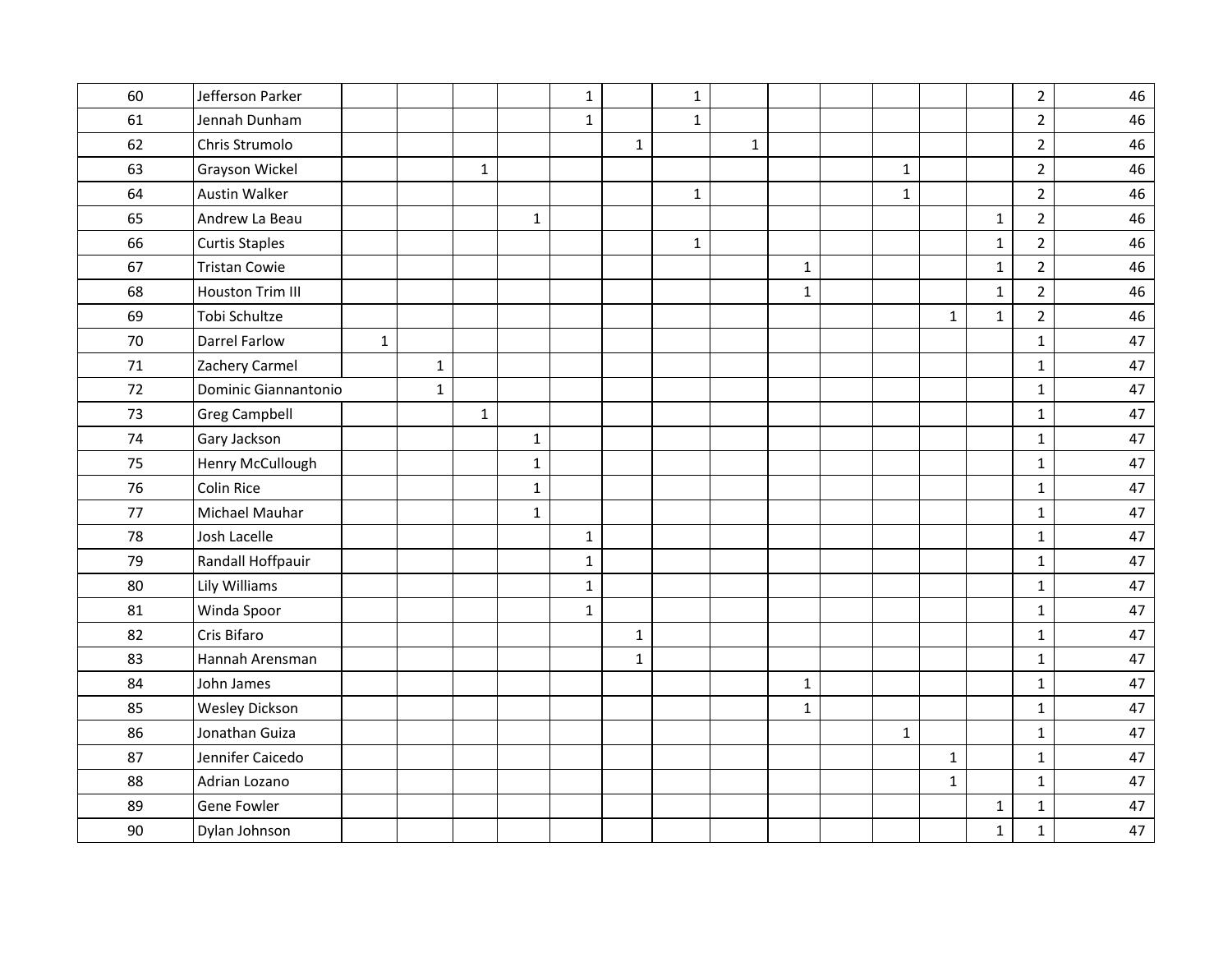| 60<br>Jefferson Parker<br>$\overline{2}$<br>$\mathbf 1$<br>$\mathbf{1}$<br>$\overline{2}$<br>61<br>Jennah Dunham<br>$\mathbf{1}$<br>$\mathbf{1}$<br>62<br>Chris Strumolo<br>$\overline{2}$<br>$\mathbf{1}$<br>$\mathbf{1}$<br>63<br>Grayson Wickel<br>$\overline{2}$<br>$\mathbf{1}$<br>$\mathbf 1$<br>$\overline{2}$<br>64<br><b>Austin Walker</b><br>$\mathbf{1}$<br>$\mathbf 1$<br>$\overline{2}$<br>Andrew La Beau<br>$\mathbf 1$<br>65<br>$\mathbf{1}$<br>$\overline{2}$<br>66<br><b>Curtis Staples</b><br>$\mathbf 1$<br>$\mathbf{1}$<br><b>Tristan Cowie</b><br>$\overline{2}$<br>67<br>$1\,$<br>$\mathbf{1}$<br>68<br>$\overline{2}$<br><b>Houston Trim III</b><br>$\mathbf{1}$<br>$\mathbf{1}$<br>69<br>Tobi Schultze<br>$\overline{2}$<br>$\mathbf 1$<br>$\mathbf{1}$<br>70<br><b>Darrel Farlow</b><br>$\mathbf{1}$<br>$\mathbf{1}$<br>71<br>Zachery Carmel<br>$\mathbf{1}$<br>$\mathbf{1}$<br>72<br>Dominic Giannantonio<br>$\mathbf{1}$<br>$\mathbf{1}$<br>73<br><b>Greg Campbell</b><br>$\mathbf{1}$<br>$\mathbf{1}$<br>74<br>Gary Jackson<br>$\mathbf 1$<br>$\mathbf{1}$<br>Henry McCullough<br>$\mathbf 1$<br>75<br>$\mathbf 1$<br>Colin Rice<br>76<br>$\mathbf 1$<br>$\mathbf 1$<br>77<br>Michael Mauhar<br>$\mathbf 1$<br>$\mathbf{1}$<br>78<br>Josh Lacelle<br>$\mathbf{1}$<br>$\mathbf 1$<br>79<br>Randall Hoffpauir<br>$\mathbf{1}$<br>$\mathbf{1}$<br>80<br>Lily Williams<br>$\mathbf 1$<br>$\mathbf 1$<br>Winda Spoor<br>$\mathbf{1}$<br>81<br>$\mathbf{1}$<br>Cris Bifaro<br>82<br>$\mathbf 1$<br>$\mathbf{1}$<br>83<br>Hannah Arensman<br>$\mathbf 1$<br>$\mathbf{1}$<br>84<br>John James<br>$\mathbf 1$<br>$\mathbf{1}$<br><b>Wesley Dickson</b><br>85<br>$\mathbf 1$<br>$1\,$<br>Jonathan Guiza<br>86<br>$\mathbf 1$<br>$\mathbf{1}$<br>Jennifer Caicedo<br>87<br>$\mathbf 1$<br>$\mathbf{1}$<br>88<br>Adrian Lozano<br>$\mathbf{1}$<br>$\mathbf{1}$<br>89<br>Gene Fowler<br>$\mathbf{1}$<br>1<br>90<br>Dylan Johnson<br>$\mathbf{1}$<br>$\mathbf{1}$ |  |  |  |  |  |  |  |  |    |
|---------------------------------------------------------------------------------------------------------------------------------------------------------------------------------------------------------------------------------------------------------------------------------------------------------------------------------------------------------------------------------------------------------------------------------------------------------------------------------------------------------------------------------------------------------------------------------------------------------------------------------------------------------------------------------------------------------------------------------------------------------------------------------------------------------------------------------------------------------------------------------------------------------------------------------------------------------------------------------------------------------------------------------------------------------------------------------------------------------------------------------------------------------------------------------------------------------------------------------------------------------------------------------------------------------------------------------------------------------------------------------------------------------------------------------------------------------------------------------------------------------------------------------------------------------------------------------------------------------------------------------------------------------------------------------------------------------------------------------------------------------------------------------------------------------------------------------------------------------------------------------------------------------------------------------------------------------------------------------|--|--|--|--|--|--|--|--|----|
|                                                                                                                                                                                                                                                                                                                                                                                                                                                                                                                                                                                                                                                                                                                                                                                                                                                                                                                                                                                                                                                                                                                                                                                                                                                                                                                                                                                                                                                                                                                                                                                                                                                                                                                                                                                                                                                                                                                                                                                 |  |  |  |  |  |  |  |  | 46 |
|                                                                                                                                                                                                                                                                                                                                                                                                                                                                                                                                                                                                                                                                                                                                                                                                                                                                                                                                                                                                                                                                                                                                                                                                                                                                                                                                                                                                                                                                                                                                                                                                                                                                                                                                                                                                                                                                                                                                                                                 |  |  |  |  |  |  |  |  | 46 |
|                                                                                                                                                                                                                                                                                                                                                                                                                                                                                                                                                                                                                                                                                                                                                                                                                                                                                                                                                                                                                                                                                                                                                                                                                                                                                                                                                                                                                                                                                                                                                                                                                                                                                                                                                                                                                                                                                                                                                                                 |  |  |  |  |  |  |  |  | 46 |
|                                                                                                                                                                                                                                                                                                                                                                                                                                                                                                                                                                                                                                                                                                                                                                                                                                                                                                                                                                                                                                                                                                                                                                                                                                                                                                                                                                                                                                                                                                                                                                                                                                                                                                                                                                                                                                                                                                                                                                                 |  |  |  |  |  |  |  |  | 46 |
|                                                                                                                                                                                                                                                                                                                                                                                                                                                                                                                                                                                                                                                                                                                                                                                                                                                                                                                                                                                                                                                                                                                                                                                                                                                                                                                                                                                                                                                                                                                                                                                                                                                                                                                                                                                                                                                                                                                                                                                 |  |  |  |  |  |  |  |  | 46 |
|                                                                                                                                                                                                                                                                                                                                                                                                                                                                                                                                                                                                                                                                                                                                                                                                                                                                                                                                                                                                                                                                                                                                                                                                                                                                                                                                                                                                                                                                                                                                                                                                                                                                                                                                                                                                                                                                                                                                                                                 |  |  |  |  |  |  |  |  | 46 |
|                                                                                                                                                                                                                                                                                                                                                                                                                                                                                                                                                                                                                                                                                                                                                                                                                                                                                                                                                                                                                                                                                                                                                                                                                                                                                                                                                                                                                                                                                                                                                                                                                                                                                                                                                                                                                                                                                                                                                                                 |  |  |  |  |  |  |  |  | 46 |
|                                                                                                                                                                                                                                                                                                                                                                                                                                                                                                                                                                                                                                                                                                                                                                                                                                                                                                                                                                                                                                                                                                                                                                                                                                                                                                                                                                                                                                                                                                                                                                                                                                                                                                                                                                                                                                                                                                                                                                                 |  |  |  |  |  |  |  |  | 46 |
|                                                                                                                                                                                                                                                                                                                                                                                                                                                                                                                                                                                                                                                                                                                                                                                                                                                                                                                                                                                                                                                                                                                                                                                                                                                                                                                                                                                                                                                                                                                                                                                                                                                                                                                                                                                                                                                                                                                                                                                 |  |  |  |  |  |  |  |  | 46 |
|                                                                                                                                                                                                                                                                                                                                                                                                                                                                                                                                                                                                                                                                                                                                                                                                                                                                                                                                                                                                                                                                                                                                                                                                                                                                                                                                                                                                                                                                                                                                                                                                                                                                                                                                                                                                                                                                                                                                                                                 |  |  |  |  |  |  |  |  | 46 |
|                                                                                                                                                                                                                                                                                                                                                                                                                                                                                                                                                                                                                                                                                                                                                                                                                                                                                                                                                                                                                                                                                                                                                                                                                                                                                                                                                                                                                                                                                                                                                                                                                                                                                                                                                                                                                                                                                                                                                                                 |  |  |  |  |  |  |  |  | 47 |
|                                                                                                                                                                                                                                                                                                                                                                                                                                                                                                                                                                                                                                                                                                                                                                                                                                                                                                                                                                                                                                                                                                                                                                                                                                                                                                                                                                                                                                                                                                                                                                                                                                                                                                                                                                                                                                                                                                                                                                                 |  |  |  |  |  |  |  |  | 47 |
|                                                                                                                                                                                                                                                                                                                                                                                                                                                                                                                                                                                                                                                                                                                                                                                                                                                                                                                                                                                                                                                                                                                                                                                                                                                                                                                                                                                                                                                                                                                                                                                                                                                                                                                                                                                                                                                                                                                                                                                 |  |  |  |  |  |  |  |  | 47 |
|                                                                                                                                                                                                                                                                                                                                                                                                                                                                                                                                                                                                                                                                                                                                                                                                                                                                                                                                                                                                                                                                                                                                                                                                                                                                                                                                                                                                                                                                                                                                                                                                                                                                                                                                                                                                                                                                                                                                                                                 |  |  |  |  |  |  |  |  | 47 |
|                                                                                                                                                                                                                                                                                                                                                                                                                                                                                                                                                                                                                                                                                                                                                                                                                                                                                                                                                                                                                                                                                                                                                                                                                                                                                                                                                                                                                                                                                                                                                                                                                                                                                                                                                                                                                                                                                                                                                                                 |  |  |  |  |  |  |  |  | 47 |
|                                                                                                                                                                                                                                                                                                                                                                                                                                                                                                                                                                                                                                                                                                                                                                                                                                                                                                                                                                                                                                                                                                                                                                                                                                                                                                                                                                                                                                                                                                                                                                                                                                                                                                                                                                                                                                                                                                                                                                                 |  |  |  |  |  |  |  |  | 47 |
|                                                                                                                                                                                                                                                                                                                                                                                                                                                                                                                                                                                                                                                                                                                                                                                                                                                                                                                                                                                                                                                                                                                                                                                                                                                                                                                                                                                                                                                                                                                                                                                                                                                                                                                                                                                                                                                                                                                                                                                 |  |  |  |  |  |  |  |  | 47 |
|                                                                                                                                                                                                                                                                                                                                                                                                                                                                                                                                                                                                                                                                                                                                                                                                                                                                                                                                                                                                                                                                                                                                                                                                                                                                                                                                                                                                                                                                                                                                                                                                                                                                                                                                                                                                                                                                                                                                                                                 |  |  |  |  |  |  |  |  | 47 |
|                                                                                                                                                                                                                                                                                                                                                                                                                                                                                                                                                                                                                                                                                                                                                                                                                                                                                                                                                                                                                                                                                                                                                                                                                                                                                                                                                                                                                                                                                                                                                                                                                                                                                                                                                                                                                                                                                                                                                                                 |  |  |  |  |  |  |  |  | 47 |
|                                                                                                                                                                                                                                                                                                                                                                                                                                                                                                                                                                                                                                                                                                                                                                                                                                                                                                                                                                                                                                                                                                                                                                                                                                                                                                                                                                                                                                                                                                                                                                                                                                                                                                                                                                                                                                                                                                                                                                                 |  |  |  |  |  |  |  |  | 47 |
|                                                                                                                                                                                                                                                                                                                                                                                                                                                                                                                                                                                                                                                                                                                                                                                                                                                                                                                                                                                                                                                                                                                                                                                                                                                                                                                                                                                                                                                                                                                                                                                                                                                                                                                                                                                                                                                                                                                                                                                 |  |  |  |  |  |  |  |  | 47 |
|                                                                                                                                                                                                                                                                                                                                                                                                                                                                                                                                                                                                                                                                                                                                                                                                                                                                                                                                                                                                                                                                                                                                                                                                                                                                                                                                                                                                                                                                                                                                                                                                                                                                                                                                                                                                                                                                                                                                                                                 |  |  |  |  |  |  |  |  | 47 |
|                                                                                                                                                                                                                                                                                                                                                                                                                                                                                                                                                                                                                                                                                                                                                                                                                                                                                                                                                                                                                                                                                                                                                                                                                                                                                                                                                                                                                                                                                                                                                                                                                                                                                                                                                                                                                                                                                                                                                                                 |  |  |  |  |  |  |  |  | 47 |
|                                                                                                                                                                                                                                                                                                                                                                                                                                                                                                                                                                                                                                                                                                                                                                                                                                                                                                                                                                                                                                                                                                                                                                                                                                                                                                                                                                                                                                                                                                                                                                                                                                                                                                                                                                                                                                                                                                                                                                                 |  |  |  |  |  |  |  |  | 47 |
|                                                                                                                                                                                                                                                                                                                                                                                                                                                                                                                                                                                                                                                                                                                                                                                                                                                                                                                                                                                                                                                                                                                                                                                                                                                                                                                                                                                                                                                                                                                                                                                                                                                                                                                                                                                                                                                                                                                                                                                 |  |  |  |  |  |  |  |  | 47 |
|                                                                                                                                                                                                                                                                                                                                                                                                                                                                                                                                                                                                                                                                                                                                                                                                                                                                                                                                                                                                                                                                                                                                                                                                                                                                                                                                                                                                                                                                                                                                                                                                                                                                                                                                                                                                                                                                                                                                                                                 |  |  |  |  |  |  |  |  | 47 |
|                                                                                                                                                                                                                                                                                                                                                                                                                                                                                                                                                                                                                                                                                                                                                                                                                                                                                                                                                                                                                                                                                                                                                                                                                                                                                                                                                                                                                                                                                                                                                                                                                                                                                                                                                                                                                                                                                                                                                                                 |  |  |  |  |  |  |  |  | 47 |
|                                                                                                                                                                                                                                                                                                                                                                                                                                                                                                                                                                                                                                                                                                                                                                                                                                                                                                                                                                                                                                                                                                                                                                                                                                                                                                                                                                                                                                                                                                                                                                                                                                                                                                                                                                                                                                                                                                                                                                                 |  |  |  |  |  |  |  |  | 47 |
|                                                                                                                                                                                                                                                                                                                                                                                                                                                                                                                                                                                                                                                                                                                                                                                                                                                                                                                                                                                                                                                                                                                                                                                                                                                                                                                                                                                                                                                                                                                                                                                                                                                                                                                                                                                                                                                                                                                                                                                 |  |  |  |  |  |  |  |  | 47 |
|                                                                                                                                                                                                                                                                                                                                                                                                                                                                                                                                                                                                                                                                                                                                                                                                                                                                                                                                                                                                                                                                                                                                                                                                                                                                                                                                                                                                                                                                                                                                                                                                                                                                                                                                                                                                                                                                                                                                                                                 |  |  |  |  |  |  |  |  | 47 |
|                                                                                                                                                                                                                                                                                                                                                                                                                                                                                                                                                                                                                                                                                                                                                                                                                                                                                                                                                                                                                                                                                                                                                                                                                                                                                                                                                                                                                                                                                                                                                                                                                                                                                                                                                                                                                                                                                                                                                                                 |  |  |  |  |  |  |  |  | 47 |